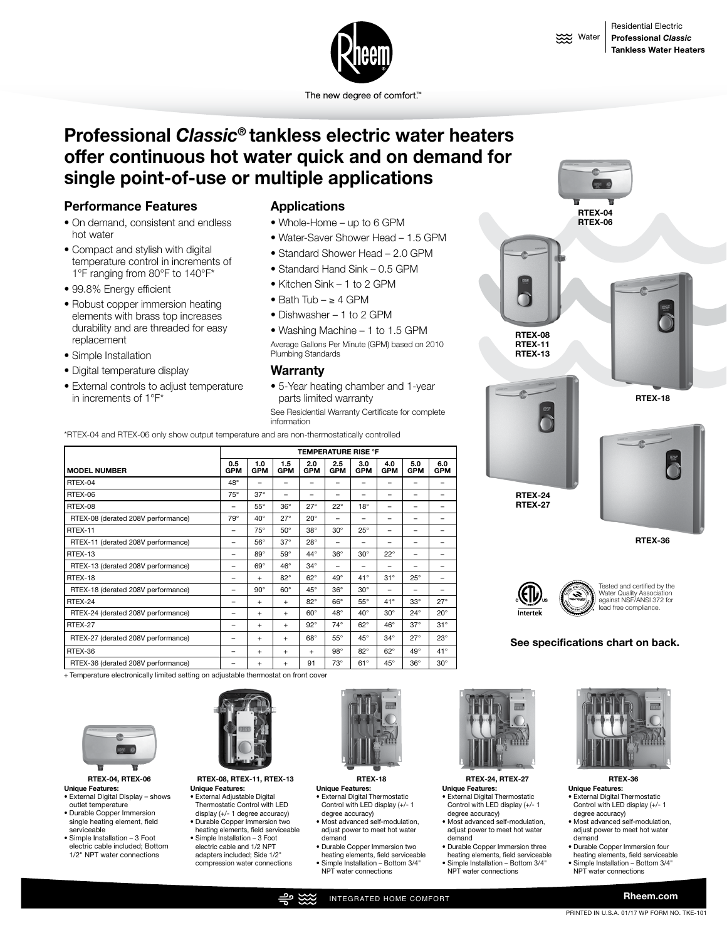

The new degree of comfort.<sup>™</sup>

# **Professional** *Classic***® tankless electric water heaters offer continuous hot water quick and on demand for single point-of-use or multiple applications**

# **Performance Features**

- On demand, consistent and endless hot water
- Compact and stylish with digital temperature control in increments of 1°F ranging from 80°F to 140°F\*
- 99.8% Energy efficient
- Robust copper immersion heating elements with brass top increases durability and are threaded for easy replacement
- Simple Installation
- Digital temperature display
- External controls to adjust temperature in increments of 1°F\*

#### **Applications**

- Whole-Home up to 6 GPM
- Water-Saver Shower Head 1.5 GPM
- Standard Shower Head 2.0 GPM
- Standard Hand Sink 0.5 GPM
- Kitchen Sink 1 to 2 GPM
- Bath Tub ≥ 4 GPM
- Dishwasher 1 to 2 GPM

• Washing Machine – 1 to 1.5 GPM Average Gallons Per Minute (GPM) based on 2010 Plumbing Standards

#### **Warranty**

• 5-Year heating chamber and 1-year parts limited warranty See Residential Warranty Certificate for complete information

\*RTEX-04 and RTEX-06 only show output temperature and are non-thermostatically controlled

|                                    | <b>TEMPERATURE RISE °F</b> |                   |                   |                   |                   |                   |                          |                   |                   |
|------------------------------------|----------------------------|-------------------|-------------------|-------------------|-------------------|-------------------|--------------------------|-------------------|-------------------|
| <b>MODEL NUMBER</b>                | 0.5<br><b>GPM</b>          | 1.0<br><b>GPM</b> | 1.5<br><b>GPM</b> | 2.0<br><b>GPM</b> | 2.5<br><b>GPM</b> | 3.0<br><b>GPM</b> | 4.0<br><b>GPM</b>        | 5.0<br><b>GPM</b> | 6.0<br><b>GPM</b> |
| RTEX-04                            | $48^\circ$                 |                   |                   |                   |                   |                   |                          |                   |                   |
| RTEX-06                            | $75^{\circ}$               | $37^\circ$        | -                 |                   |                   |                   |                          |                   |                   |
| RTEX-08                            |                            | $55^{\circ}$      | $36^\circ$        | $27^\circ$        | $22^{\circ}$      | $18^\circ$        | $\overline{\phantom{0}}$ |                   |                   |
| RTEX-08 (derated 208V performance) | $79^\circ$                 | $40^{\circ}$      | $27^\circ$        | $20^\circ$        |                   |                   |                          |                   |                   |
| RTEX-11                            | $\overline{\phantom{0}}$   | $75^\circ$        | $50^\circ$        | $38^\circ$        | $30^\circ$        | $25^{\circ}$      | $\overline{\phantom{0}}$ |                   |                   |
| RTEX-11 (derated 208V performance) | $\overline{\phantom{0}}$   | $56^{\circ}$      | $37^\circ$        | $28^\circ$        | -                 |                   |                          |                   |                   |
| RTEX-13                            | $\overline{\phantom{0}}$   | $89^\circ$        | $59^\circ$        | 44°               | $36^\circ$        | $30^\circ$        | $22^{\circ}$             |                   |                   |
| RTEX-13 (derated 208V performance) | -                          | $69^\circ$        | $46^\circ$        | $34^\circ$        | -                 |                   | -                        |                   |                   |
| RTEX-18                            | -                          | $^{+}$            | $82^\circ$        | $62^\circ$        | $49^{\circ}$      | $41^{\circ}$      | $31^\circ$               | $25^{\circ}$      | $\qquad \qquad$   |
| RTEX-18 (derated 208V performance) | -                          | $90^\circ$        | $60^\circ$        | $45^\circ$        | $36^\circ$        | $30^\circ$        | $\qquad \qquad$          |                   |                   |
| RTEX-24                            |                            | $^{+}$            | $+$               | $82^\circ$        | $66^\circ$        | $55^{\circ}$      | 41°                      | $33^\circ$        | $27^\circ$        |
| RTEX-24 (derated 208V performance) |                            | $^{+}$            | $+$               | $60^\circ$        | $48^\circ$        | $40^{\circ}$      | $30^\circ$               | $24^{\circ}$      | $20^{\circ}$      |
| RTEX-27                            |                            | $\ddot{}$         | $+$               | $92^\circ$        | $74^\circ$        | $62^\circ$        | $46^\circ$               | $37^\circ$        | $31^\circ$        |
| RTEX-27 (derated 208V performance) |                            | $\ddot{}$         | $+$               | $68^\circ$        | $55^{\circ}$      | $45^{\circ}$      | $34^\circ$               | $27^\circ$        | $23^\circ$        |
| RTEX-36                            |                            | $\ddot{}$         | ÷                 | $+$               | $98^\circ$        | $82^{\circ}$      | $62^\circ$               | $49^{\circ}$      | $41^{\circ}$      |
| RTEX-36 (derated 208V performance) |                            | $\ddot{}$         | $\ddot{}$         | 91                | $73^\circ$        | $61^\circ$        | $45^{\circ}$             | $36^\circ$        | $30^\circ$        |

+ Temperature electronically limited setting on adjustable thermostat on front cover



**Unique Features:** 

- External Digital Display shows outlet temperature
- Durable Copper Immersion single heating element, field serviceable
- Simple Installation 3 Foot electric cable included; Bottom 1/2" NPT water connections



**RTEX-04, RTEX-06 RTEX-08, RTEX-11, RTEX-13 Unique Features:**  • External Adjustable Digital

- Thermostatic Control with LED display (+/- 1 degree accuracy)
- Durable Copper Immersion two heating elements, field serviceable • Simple Installation – 3 Foot electric cable and 1/2 NPT
	- adapters included; Side 1/2" compression water connections



**RTEX-18**

- **Unique Features:** • External Digital Thermostatic Control with LED display (+/- 1
- degree accuracy) • Most advanced self-modulation, adjust power to meet hot water demand
- Durable Copper Immersion two heating elements, field serviceable • Simple Installation – Bottom 3/4" NPT water connections



**RTEX-24, RTEX-27 Unique Features:**

- External Digital Thermostatic Control with LED display (+/- 1 degree accuracy)
- Most advanced self-modulation, adjust power to meet hot water demand
- Durable Copper Immersion three heating elements, field serviceable
- Simple Installation Bottom 3/4"
- NPT water connections





**RTEX-08 RTEX-11 RTEX-13**



**RTEX-36**

Tested and certified by the Water Quality Association against NSF/ANSI 372 for e complian

#### **See specifications chart on back.**





degree accuracy) • Most advanced self-modulation, adjust power to meet hot water demand

**Unique Features:** • External Digital Thermostatic Control with LED display (+/- 1

• Durable Copper Immersion four heating elements, field serviceable

**RTEX-36**

- Simple Installation Bottom 3/4"
- NPT water connections
	-

**Rheem.com**